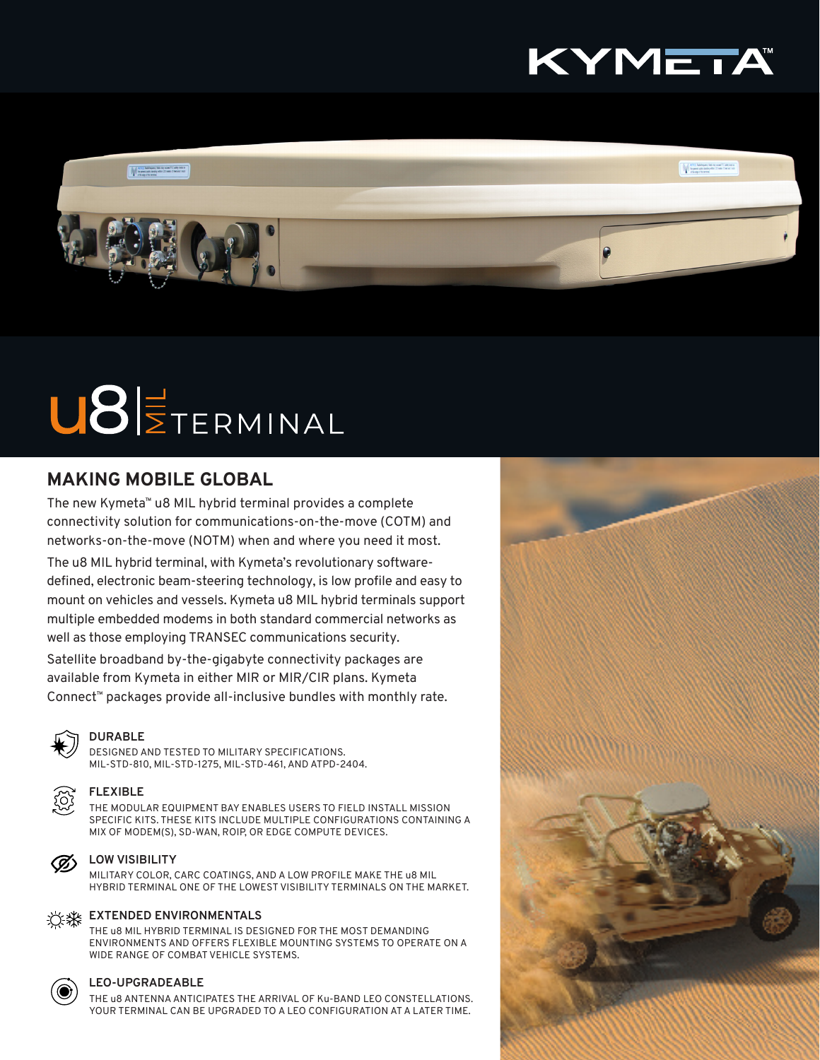



# U8ETERMINAL

# **MAKING MOBILE GLOBAL**

The new Kymeta™ u8 MIL hybrid terminal provides a complete connectivity solution for communications-on-the-move (COTM) and networks-on-the-move (NOTM) when and where you need it most.

The u8 MIL hybrid terminal, with Kymeta's revolutionary softwaredefined, electronic beam-steering technology, is low profile and easy to mount on vehicles and vessels. Kymeta u8 MIL hybrid terminals support multiple embedded modems in both standard commercial networks as well as those employing TRANSEC communications security.

Satellite broadband by-the-gigabyte connectivity packages are available from Kymeta in either MIR or MIR/CIR plans. Kymeta Connect™ packages provide all-inclusive bundles with monthly rate.



#### **DURABLE**

DESIGNED AND TESTED TO MILITARY SPECIFICATIONS. MIL-STD-810, MIL-STD-1275, MIL-STD-461, AND ATPD-2404.



#### **FLEXIBLE**

THE MODULAR EQUIPMENT BAY ENABLES USERS TO FIELD INSTALL MISSION SPECIFIC KITS. THESE KITS INCLUDE MULTIPLE CONFIGURATIONS CONTAINING A MIX OF MODEM(S), SD-WAN, ROIP, OR EDGE COMPUTE DEVICES.



#### **LOW VISIBILITY**

MILITARY COLOR, CARC COATINGS, AND A LOW PROFILE MAKE THE u8 MIL HYBRID TERMINAL ONE OF THE LOWEST VISIBILITY TERMINALS ON THE MARKET.



## **EXTENDED ENVIRONMENTALS**

THE u8 MIL HYBRID TERMINAL IS DESIGNED FOR THE MOST DEMANDING ENVIRONMENTS AND OFFERS FLEXIBLE MOUNTING SYSTEMS TO OPERATE ON A WIDE RANGE OF COMBAT VEHICLE SYSTEMS.



#### **LEO-UPGRADEABLE**

THE u8 ANTENNA ANTICIPATES THE ARRIVAL OF Ku-BAND LEO CONSTELLATIONS. YOUR TERMINAL CAN BE UPGRADED TO A LEO CONFIGURATION AT A LATER TIME.